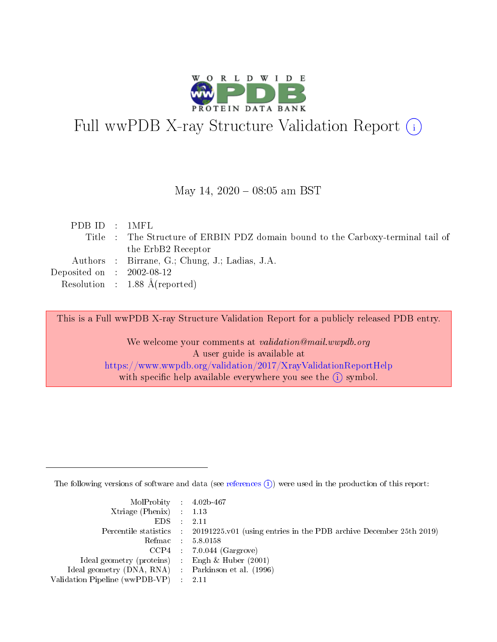

# Full wwPDB X-ray Structure Validation Report (i)

#### May 14,  $2020 - 08:05$  am BST

| PDB ID : 1MFL                        |                                                                                 |
|--------------------------------------|---------------------------------------------------------------------------------|
|                                      | Title : The Structure of ERBIN PDZ domain bound to the Carboxy-terminal tail of |
|                                      | the ErbB2 Receptor                                                              |
|                                      | Authors : Birrane, G.; Chung, J.; Ladias, J.A.                                  |
| Deposited on $\therefore$ 2002-08-12 |                                                                                 |
|                                      | Resolution : $1.88 \text{ Å}$ (reported)                                        |

This is a Full wwPDB X-ray Structure Validation Report for a publicly released PDB entry.

We welcome your comments at validation@mail.wwpdb.org A user guide is available at <https://www.wwpdb.org/validation/2017/XrayValidationReportHelp> with specific help available everywhere you see the  $(i)$  symbol.

The following versions of software and data (see [references](https://www.wwpdb.org/validation/2017/XrayValidationReportHelp#references)  $(i)$ ) were used in the production of this report:

| MolProbity : 4.02b-467                              |                                                                                            |
|-----------------------------------------------------|--------------------------------------------------------------------------------------------|
| $Xtriangle (Phenix)$ : 1.13                         |                                                                                            |
| $EDS = 2.11$                                        |                                                                                            |
|                                                     | Percentile statistics : 20191225.v01 (using entries in the PDB archive December 25th 2019) |
|                                                     | Refmac : 5.8.0158                                                                          |
|                                                     | $CCP4$ : 7.0.044 (Gargrove)                                                                |
| Ideal geometry (proteins) : Engh $\&$ Huber (2001)  |                                                                                            |
| Ideal geometry (DNA, RNA) : Parkinson et al. (1996) |                                                                                            |
| Validation Pipeline (wwPDB-VP) : 2.11               |                                                                                            |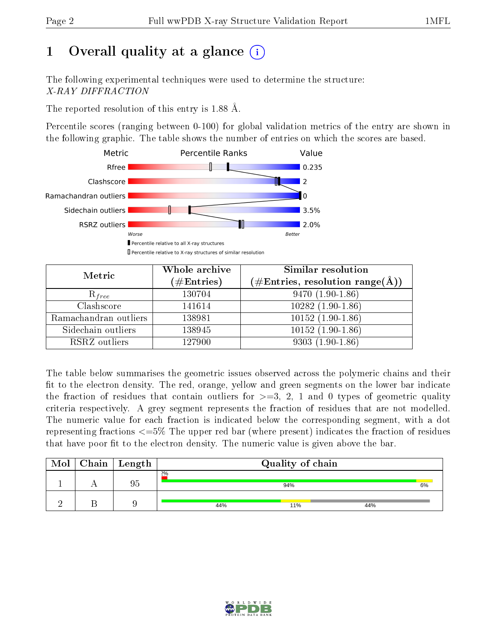# 1 [O](https://www.wwpdb.org/validation/2017/XrayValidationReportHelp#overall_quality)verall quality at a glance  $(i)$

The following experimental techniques were used to determine the structure: X-RAY DIFFRACTION

The reported resolution of this entry is 1.88 Å.

Percentile scores (ranging between 0-100) for global validation metrics of the entry are shown in the following graphic. The table shows the number of entries on which the scores are based.



| Metric                | Whole archive<br>$(\#\text{Entries})$ | Similar resolution<br>$(\#\text{Entries},\,\text{resolution}\,\,\text{range}(\textup{\AA}))$ |
|-----------------------|---------------------------------------|----------------------------------------------------------------------------------------------|
| $R_{free}$            | 130704                                | $9470(1.90-1.86)$                                                                            |
| Clashscore            | 141614                                | $10282(1.90-1.86)$                                                                           |
| Ramachandran outliers | 138981                                | $10152(1.90-1.86)$                                                                           |
| Sidechain outliers    | 138945                                | $10152(1.90-1.86)$                                                                           |
| RSRZ outliers         | 127900                                | $9303(1.90-1.86)$                                                                            |

The table below summarises the geometric issues observed across the polymeric chains and their fit to the electron density. The red, orange, yellow and green segments on the lower bar indicate the fraction of residues that contain outliers for  $>=3, 2, 1$  and 0 types of geometric quality criteria respectively. A grey segment represents the fraction of residues that are not modelled. The numeric value for each fraction is indicated below the corresponding segment, with a dot representing fractions  $\epsilon=5\%$  The upper red bar (where present) indicates the fraction of residues that have poor fit to the electron density. The numeric value is given above the bar.

| Mol | $C$ hain   Length |     | Quality of chain |     |    |
|-----|-------------------|-----|------------------|-----|----|
|     | 95                | 2%  | 94%              |     | 6% |
|     |                   | 44% | 11%              | 44% |    |

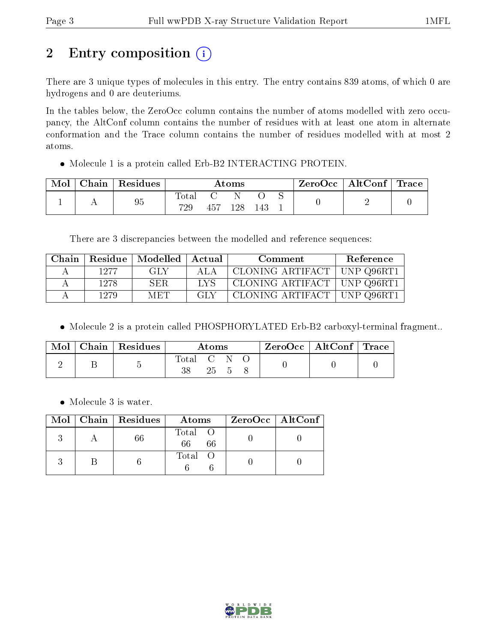# 2 Entry composition (i)

There are 3 unique types of molecules in this entry. The entry contains 839 atoms, of which 0 are hydrogens and 0 are deuteriums.

In the tables below, the ZeroOcc column contains the number of atoms modelled with zero occupancy, the AltConf column contains the number of residues with at least one atom in alternate conformation and the Trace column contains the number of residues modelled with at most 2 atoms.

Molecule 1 is a protein called Erb-B2 INTERACTING PROTEIN.

| Mol | ${\rm Chain}\parallel {\rm Residues}$ | $\rm\bf Atoms$ |     |     | $\text{ZeroOcc} \mid \text{AltConf} \mid \text{Trace}$ |  |  |  |
|-----|---------------------------------------|----------------|-----|-----|--------------------------------------------------------|--|--|--|
|     | 95                                    | l`otal<br>729  | 457 | 128 | 143                                                    |  |  |  |

There are 3 discrepancies between the modelled and reference sequences:

| Chain |      | Residue   Modelled   Actual |            | Comment                       | <b>Reference</b> |
|-------|------|-----------------------------|------------|-------------------------------|------------------|
|       | 1977 | GT Y                        | ALA        | CLONING ARTIFACT   UNP Q96RT1 |                  |
|       | 1278 | SER                         | <b>TYS</b> | CLONING ARTIFACT   UNP Q96RT1 |                  |
|       | 1279 | M ET '                      | GL V       | CLONING ARTIFACT   UNP Q96RT1 |                  |

Molecule 2 is a protein called PHOSPHORYLATED Erb-B2 carboxyl-terminal fragment..

| Mol | Chain   Residues | $\rm{Atoms}$ |  |  | $\text{ZeroOcc} \mid \text{AltConf} \mid \text{Trace}$ |  |
|-----|------------------|--------------|--|--|--------------------------------------------------------|--|
|     |                  | Total        |  |  |                                                        |  |
|     |                  |              |  |  |                                                        |  |

• Molecule 3 is water.

|  | $Mol$   Chain   Residues | Atoms               | ZeroOcc   AltConf |
|--|--------------------------|---------------------|-------------------|
|  |                          | Total O<br>66<br>66 |                   |
|  |                          | Total O             |                   |

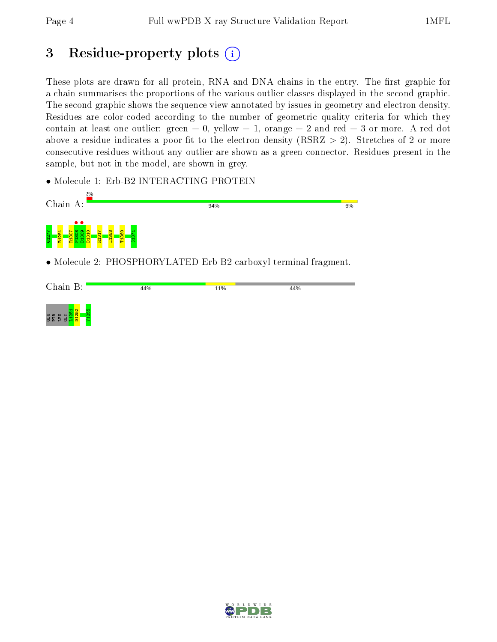## 3 Residue-property plots  $\binom{1}{1}$

These plots are drawn for all protein, RNA and DNA chains in the entry. The first graphic for a chain summarises the proportions of the various outlier classes displayed in the second graphic. The second graphic shows the sequence view annotated by issues in geometry and electron density. Residues are color-coded according to the number of geometric quality criteria for which they contain at least one outlier: green  $= 0$ , yellow  $= 1$ , orange  $= 2$  and red  $= 3$  or more. A red dot above a residue indicates a poor fit to the electron density (RSRZ  $> 2$ ). Stretches of 2 or more consecutive residues without any outlier are shown as a green connector. Residues present in the sample, but not in the model, are shown in grey.

• Molecule 1: Erb-B2 INTERACTING PROTEIN



• Molecule 2: PHOSPHORYLATED Erb-B2 carboxyl-terminal fragment.



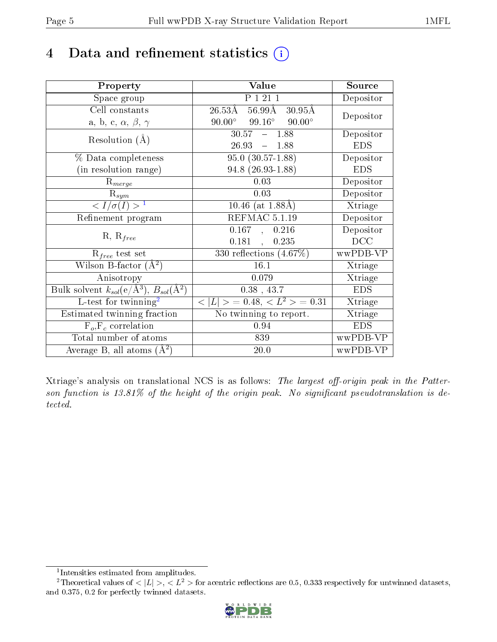## 4 Data and refinement statistics  $(i)$

| Property                                                         | Value                                                    | Source     |
|------------------------------------------------------------------|----------------------------------------------------------|------------|
| Space group                                                      | P 1 21 1                                                 | Depositor  |
| Cell constants                                                   | 56.99 <sub>A</sub><br>$26.53\rm\AA$<br>$30.95\text{\AA}$ | Depositor  |
| a, b, c, $\alpha$ , $\beta$ , $\gamma$                           | $99.16^{\circ}$<br>$90.00^{\circ}$<br>$90.00^\circ$      |            |
| Resolution $(A)$                                                 | 30.57<br>$-1.88$                                         | Depositor  |
|                                                                  | 26.93<br>$-1.88$                                         | <b>EDS</b> |
| $\%$ Data completeness                                           | $\overline{95.0}$ $(30.57-1.88)$                         | Depositor  |
| (in resolution range)                                            | $94.8$ $(26.93 - 1.88)$                                  | <b>EDS</b> |
| $R_{merge}$                                                      | 0.03                                                     | Depositor  |
| $\mathrm{R}_{sym}$                                               | 0.03                                                     | Depositor  |
| $\langle I/\sigma(I) \rangle^{-1}$                               | 10.46 (at $1.88\text{\AA}$ )                             | Xtriage    |
| Refinement program                                               | REFMAC 5.1.19                                            | Depositor  |
|                                                                  | 0.167<br>0.216<br>$\sim$                                 | Depositor  |
| $R, R_{free}$                                                    | 0.181<br>0.235<br>$\mathbf{A}$                           | DCC        |
| $R_{free}$ test set                                              | $\overline{330}$ reflections $(4.67\%)$                  | wwPDB-VP   |
| Wilson B-factor $(A^2)$                                          | 16.1                                                     | Xtriage    |
| Anisotropy                                                       | 0.079                                                    | Xtriage    |
| Bulk solvent $k_{sol}(\text{e}/\text{A}^3), B_{sol}(\text{A}^2)$ | $0.38$ , 43.7                                            | <b>EDS</b> |
| L-test for $\mathrm{twinning}^2$                                 | $< L >$ = 0.48, $< L2 >$ = 0.31                          | Xtriage    |
| Estimated twinning fraction                                      | No twinning to report.                                   | Xtriage    |
| $\overline{F_o}, \overline{F_c}$ correlation                     | 0.94                                                     | <b>EDS</b> |
| Total number of atoms                                            | 839                                                      | wwPDB-VP   |
| Average B, all atoms $(A^2)$                                     | $20.0\,$                                                 | wwPDB-VP   |

Xtriage's analysis on translational NCS is as follows: The largest off-origin peak in the Patterson function is  $13.81\%$  of the height of the origin peak. No significant pseudotranslation is detected.

<sup>&</sup>lt;sup>2</sup>Theoretical values of  $\langle |L| \rangle$ ,  $\langle L^2 \rangle$  for acentric reflections are 0.5, 0.333 respectively for untwinned datasets, and 0.375, 0.2 for perfectly twinned datasets.



<span id="page-4-1"></span><span id="page-4-0"></span><sup>1</sup> Intensities estimated from amplitudes.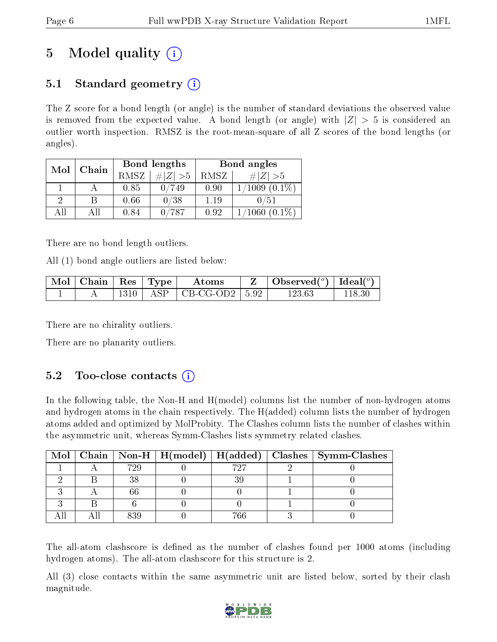# 5 Model quality  $(i)$

### 5.1 Standard geometry  $\overline{()}$

The Z score for a bond length (or angle) is the number of standard deviations the observed value is removed from the expected value. A bond length (or angle) with  $|Z| > 5$  is considered an outlier worth inspection. RMSZ is the root-mean-square of all Z scores of the bond lengths (or angles).

| Mol | Chain |      | Bond lengths | Bond angles |                              |  |
|-----|-------|------|--------------|-------------|------------------------------|--|
|     |       | RMSZ | # $ Z  > 5$  | RMSZ        | # $ Z  > 5$                  |  |
|     |       | 0.85 | 749          | 0.90        | $(0.1\%)$<br>$^{\prime}1009$ |  |
| 9   | В     | 0.66 | 0/38         | 1.19        | 0/51                         |  |
| AΠ  | ΑH    | 0.84 | 787          | 0.92        | $0.1\%)$<br>1060             |  |

There are no bond length outliers.

All (1) bond angle outliers are listed below:

| $\sqrt{\text{Mol}}$   Chain   Res   Type |  | Atoms                           |  | Observed $(^\circ)$   Ideal $(^\circ)$ |        |
|------------------------------------------|--|---------------------------------|--|----------------------------------------|--------|
|                                          |  | $1310$   ASP   CB-CG-OD2   5.92 |  | 123.63                                 | 118.30 |

There are no chirality outliers.

There are no planarity outliers.

### 5.2 Too-close contacts  $(i)$

In the following table, the Non-H and H(model) columns list the number of non-hydrogen atoms and hydrogen atoms in the chain respectively. The H(added) column lists the number of hydrogen atoms added and optimized by MolProbity. The Clashes column lists the number of clashes within the asymmetric unit, whereas Symm-Clashes lists symmetry related clashes.

|  |     |     | Mol   Chain   Non-H   H(model)   H(added)   Clashes   Symm-Clashes |
|--|-----|-----|--------------------------------------------------------------------|
|  | 729 | 797 |                                                                    |
|  |     |     |                                                                    |
|  |     |     |                                                                    |
|  |     |     |                                                                    |
|  | 096 |     |                                                                    |

The all-atom clashscore is defined as the number of clashes found per 1000 atoms (including hydrogen atoms). The all-atom clashscore for this structure is 2.

All (3) close contacts within the same asymmetric unit are listed below, sorted by their clash magnitude.

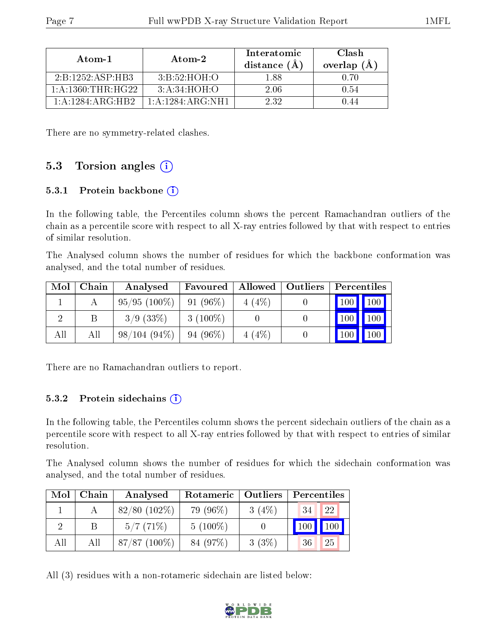| Atom-1                | Atom-2               | Interatomic<br>distance $(A)$ | Clash<br>overlap $(A)$ |
|-----------------------|----------------------|-------------------------------|------------------------|
| 2:B:1252:ASP:HB3      | 3:B:52:HOH:O         | 1 88                          | በ 7በ                   |
| 1: A: 1360: THR: HG22 | 3: A:34:HOH:O        | 2.06                          | 0.54                   |
| 1: A: 1284: ARG: HR2  | 1: A: 1284: ARG: NH1 | 2.32                          |                        |

There are no symmetry-related clashes.

### 5.3 Torsion angles  $(i)$

#### 5.3.1 Protein backbone  $(i)$

In the following table, the Percentiles column shows the percent Ramachandran outliers of the chain as a percentile score with respect to all X-ray entries followed by that with respect to entries of similar resolution.

The Analysed column shows the number of residues for which the backbone conformation was analysed, and the total number of residues.

| Mol | Chain | Analysed       | Favoured   | Allowed  | Outliers | Percentiles         |                    |
|-----|-------|----------------|------------|----------|----------|---------------------|--------------------|
|     |       | $95/95(100\%)$ | $91(96\%)$ | $4(4\%)$ |          | $\vert$ 100 $\vert$ | $\blacksquare$ 100 |
|     |       | $3/9$ $(33\%)$ | $3(100\%)$ |          |          | 100                 | 100                |
| All | All   | $98/104(94\%)$ | $94(96\%)$ | 4(4%)    |          | 100                 | 100                |

There are no Ramachandran outliers to report.

#### 5.3.2 Protein sidechains  $(i)$

In the following table, the Percentiles column shows the percent sidechain outliers of the chain as a percentile score with respect to all X-ray entries followed by that with respect to entries of similar resolution.

The Analysed column shows the number of residues for which the sidechain conformation was analysed, and the total number of residues.

| Mol | Chain | Analysed        | Rotameric  | Outliers | Percentiles |     |
|-----|-------|-----------------|------------|----------|-------------|-----|
|     |       | $82/80$ (102\%) | 79 (96%)   | $3(4\%)$ | 34          | 22  |
|     |       | 5/7(71%)        | $5(100\%)$ |          | 100         | 100 |
| All | All   | $87/87(100\%)$  | 84 (97%)   | 3(3%)    | 36          | 25  |

All (3) residues with a non-rotameric sidechain are listed below:

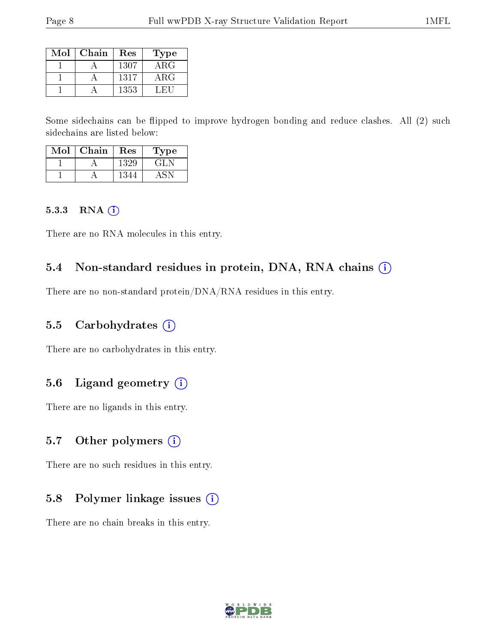| Mol | Chain | Res  | Type   |
|-----|-------|------|--------|
|     |       | 1307 | ARG    |
|     |       | 1317 | ARG    |
|     |       | 1353 | . HULL |

Some sidechains can be flipped to improve hydrogen bonding and reduce clashes. All (2) such sidechains are listed below:

| Mol | Chain | Res  | Type  |
|-----|-------|------|-------|
|     |       | 1329 | GH JI |
|     |       | 1344 |       |

#### 5.3.3 RNA (i)

There are no RNA molecules in this entry.

#### 5.4 Non-standard residues in protein, DNA, RNA chains (i)

There are no non-standard protein/DNA/RNA residues in this entry.

#### 5.5 Carbohydrates  $(i)$

There are no carbohydrates in this entry.

#### 5.6 Ligand geometry (i)

There are no ligands in this entry.

#### 5.7 [O](https://www.wwpdb.org/validation/2017/XrayValidationReportHelp#nonstandard_residues_and_ligands)ther polymers  $(i)$

There are no such residues in this entry.

### 5.8 Polymer linkage issues  $(i)$

There are no chain breaks in this entry.